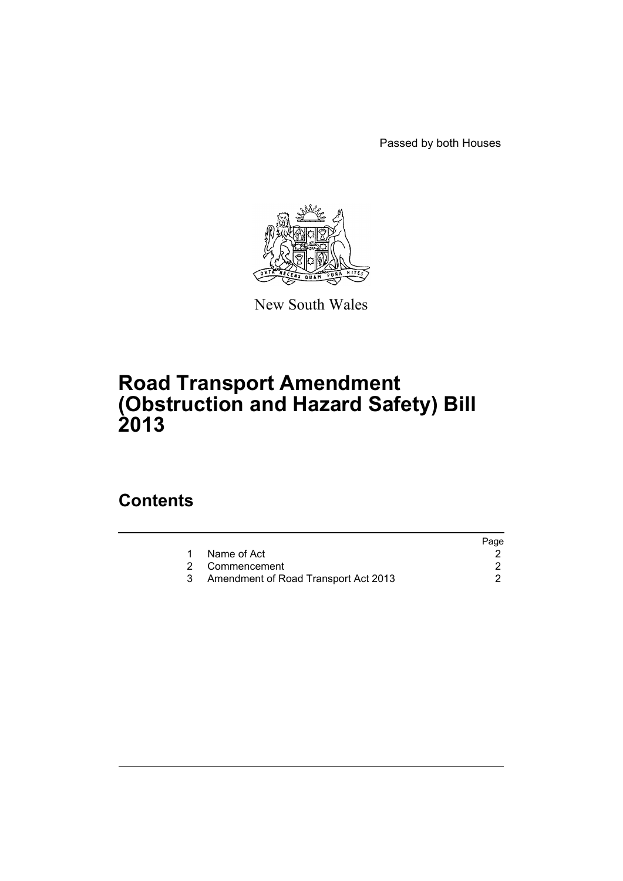Passed by both Houses



New South Wales

## **Road Transport Amendment (Obstruction and Hazard Safety) Bill 2013**

### **Contents**

|                                      | Page |
|--------------------------------------|------|
| Name of Act                          |      |
| 2 Commencement                       |      |
| Amendment of Road Transport Act 2013 |      |
|                                      |      |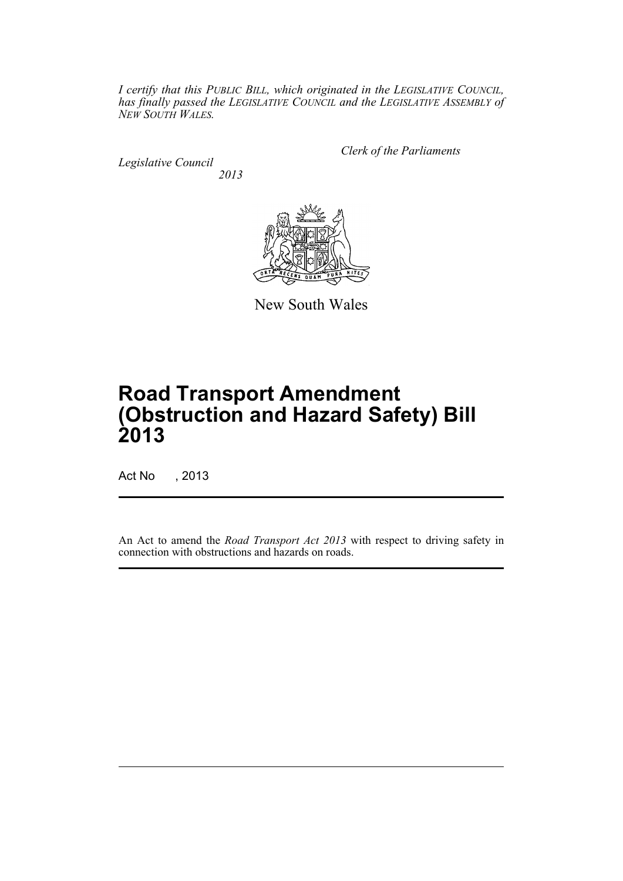*I certify that this PUBLIC BILL, which originated in the LEGISLATIVE COUNCIL, has finally passed the LEGISLATIVE COUNCIL and the LEGISLATIVE ASSEMBLY of NEW SOUTH WALES.*

*Legislative Council 2013* *Clerk of the Parliaments*



New South Wales

# **Road Transport Amendment (Obstruction and Hazard Safety) Bill 2013**

Act No , 2013

An Act to amend the *Road Transport Act 2013* with respect to driving safety in connection with obstructions and hazards on roads.